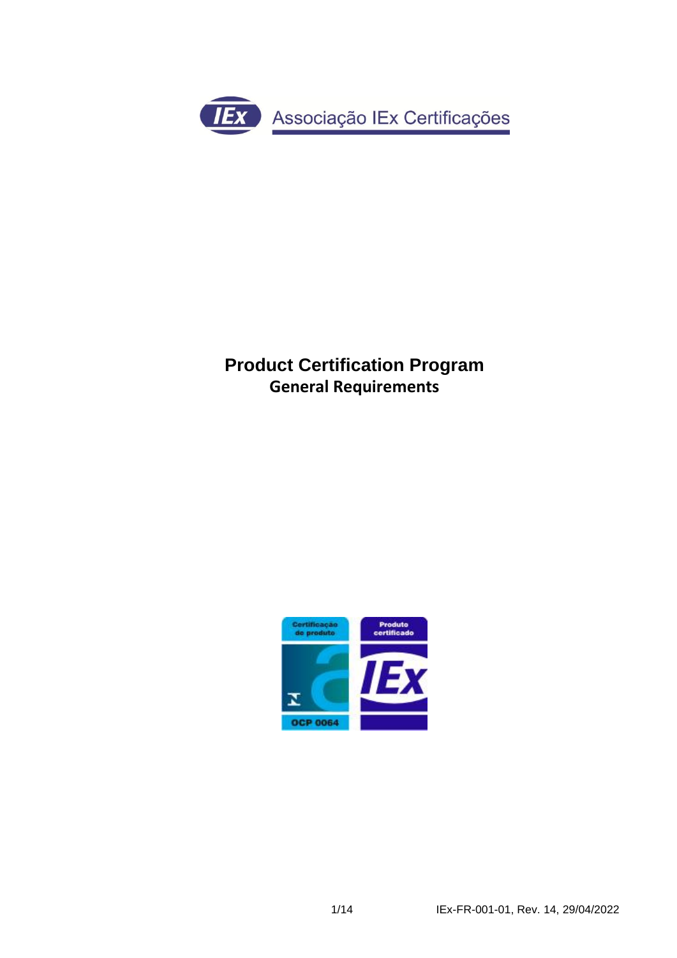

# **Product Certification Program General Requirements**

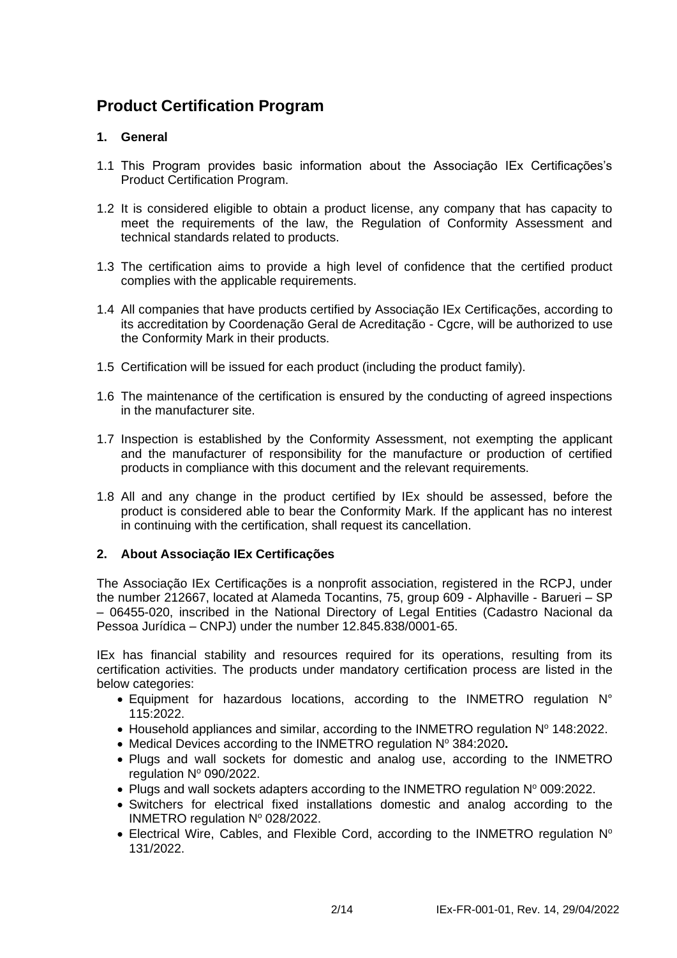## **Product Certification Program**

## **1. General**

- 1.1 This Program provides basic information about the Associação IEx Certificações's Product Certification Program.
- 1.2 It is considered eligible to obtain a product license, any company that has capacity to meet the requirements of the law, the Regulation of Conformity Assessment and technical standards related to products.
- 1.3 The certification aims to provide a high level of confidence that the certified product complies with the applicable requirements.
- 1.4 All companies that have products certified by Associação IEx Certificações, according to its accreditation by Coordenação Geral de Acreditação - Cgcre, will be authorized to use the Conformity Mark in their products.
- 1.5 Certification will be issued for each product (including the product family).
- 1.6 The maintenance of the certification is ensured by the conducting of agreed inspections in the manufacturer site.
- 1.7 Inspection is established by the Conformity Assessment, not exempting the applicant and the manufacturer of responsibility for the manufacture or production of certified products in compliance with this document and the relevant requirements.
- 1.8 All and any change in the product certified by IEx should be assessed, before the product is considered able to bear the Conformity Mark. If the applicant has no interest in continuing with the certification, shall request its cancellation.

### **2. About Associação IEx Certificações**

The Associação IEx Certificações is a nonprofit association, registered in the RCPJ, under the number 212667, located at Alameda Tocantins, 75, group 609 - Alphaville - Barueri – SP – 06455-020, inscribed in the National Directory of Legal Entities (Cadastro Nacional da Pessoa Jurídica – CNPJ) under the number 12.845.838/0001-65.

IEx has financial stability and resources required for its operations, resulting from its certification activities. The products under mandatory certification process are listed in the below categories:

- Equipment for hazardous locations, according to the INMETRO regulation N° 115:2022.
- Household appliances and similar, according to the INMETRO regulation  $N^{\circ}$  148:2022.
- Medical Devices according to the INMETRO regulation Nº 384:2020.
- Plugs and wall sockets for domestic and analog use, according to the INMETRO regulation Nº 090/2022.
- Plugs and wall sockets adapters according to the INMETRO regulation N° 009:2022.
- Switchers for electrical fixed installations domestic and analog according to the INMETRO regulation  $N^{\circ}$  028/2022.
- Electrical Wire, Cables, and Flexible Cord, according to the INMETRO regulation N° 131/2022.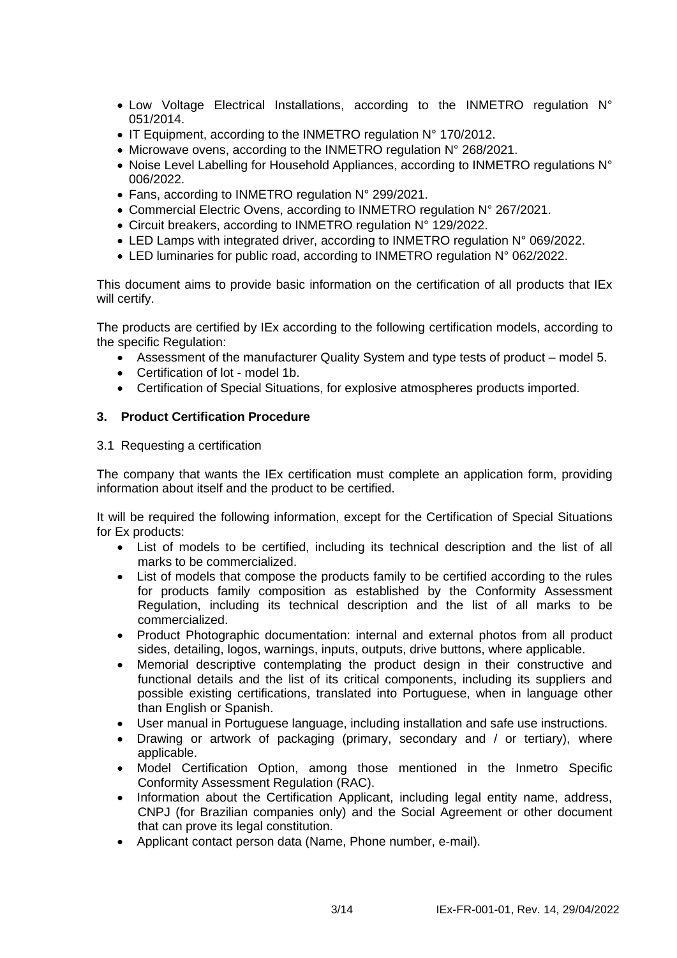- Low Voltage Electrical Installations, according to the INMETRO regulation N° 051/2014.
- IT Equipment, according to the INMETRO regulation N° 170/2012.
- Microwave ovens, according to the INMETRO regulation N° 268/2021.
- Noise Level Labelling for Household Appliances, according to INMETRO regulations N° 006/2022.
- Fans, according to INMETRO regulation N° 299/2021.
- Commercial Electric Ovens, according to INMETRO regulation N° 267/2021.
- Circuit breakers, according to INMETRO regulation N° 129/2022.
- LED Lamps with integrated driver, according to INMETRO regulation N° 069/2022.
- LED luminaries for public road, according to INMETRO regulation N° 062/2022.

This document aims to provide basic information on the certification of all products that IEx will certify.

The products are certified by IEx according to the following certification models, according to the specific Regulation:

- Assessment of the manufacturer Quality System and type tests of product model 5.
- Certification of lot model 1b.
- Certification of Special Situations, for explosive atmospheres products imported.

## **3. Product Certification Procedure**

#### 3.1 Requesting a certification

The company that wants the IEx certification must complete an application form, providing information about itself and the product to be certified.

It will be required the following information, except for the Certification of Special Situations for Ex products:

- List of models to be certified, including its technical description and the list of all marks to be commercialized.
- List of models that compose the products family to be certified according to the rules for products family composition as established by the Conformity Assessment Regulation, including its technical description and the list of all marks to be commercialized.
- Product Photographic documentation: internal and external photos from all product sides, detailing, logos, warnings, inputs, outputs, drive buttons, where applicable.
- Memorial descriptive contemplating the product design in their constructive and functional details and the list of its critical components, including its suppliers and possible existing certifications, translated into Portuguese, when in language other than English or Spanish.
- User manual in Portuguese language, including installation and safe use instructions.
- Drawing or artwork of packaging (primary, secondary and / or tertiary), where applicable.
- Model Certification Option, among those mentioned in the Inmetro Specific Conformity Assessment Regulation (RAC).
- Information about the Certification Applicant, including legal entity name, address, CNPJ (for Brazilian companies only) and the Social Agreement or other document that can prove its legal constitution.
- Applicant contact person data (Name, Phone number, e-mail).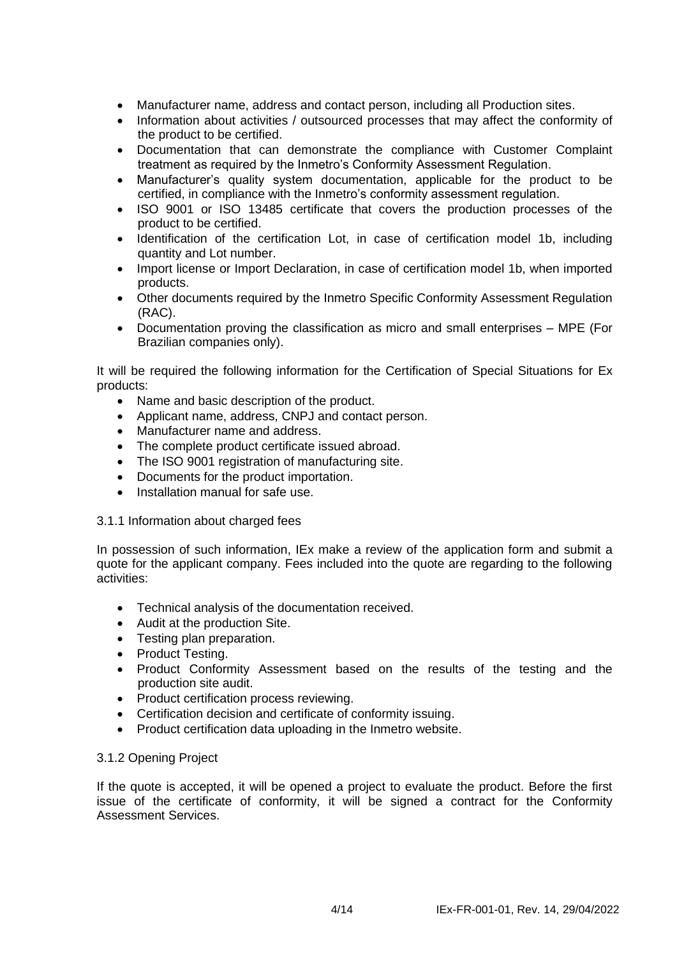- Manufacturer name, address and contact person, including all Production sites.
- Information about activities / outsourced processes that may affect the conformity of the product to be certified.
- Documentation that can demonstrate the compliance with Customer Complaint treatment as required by the Inmetro's Conformity Assessment Regulation.
- Manufacturer's quality system documentation, applicable for the product to be certified, in compliance with the Inmetro's conformity assessment regulation.
- ISO 9001 or ISO 13485 certificate that covers the production processes of the product to be certified.
- Identification of the certification Lot, in case of certification model 1b, including quantity and Lot number.
- Import license or Import Declaration, in case of certification model 1b, when imported products.
- Other documents required by the Inmetro Specific Conformity Assessment Regulation (RAC).
- Documentation proving the classification as micro and small enterprises MPE (For Brazilian companies only).

It will be required the following information for the Certification of Special Situations for Ex products:

- Name and basic description of the product.
- Applicant name, address, CNPJ and contact person.
- Manufacturer name and address.
- The complete product certificate issued abroad.
- The ISO 9001 registration of manufacturing site.
- Documents for the product importation.
- Installation manual for safe use.
- 3.1.1 Information about charged fees

In possession of such information, IEx make a review of the application form and submit a quote for the applicant company. Fees included into the quote are regarding to the following activities:

- Technical analysis of the documentation received.
- Audit at the production Site.
- Testing plan preparation.
- Product Testing.
- Product Conformity Assessment based on the results of the testing and the production site audit.
- Product certification process reviewing.
- Certification decision and certificate of conformity issuing.
- Product certification data uploading in the Inmetro website.

### 3.1.2 Opening Project

If the quote is accepted, it will be opened a project to evaluate the product. Before the first issue of the certificate of conformity, it will be signed a contract for the Conformity Assessment Services.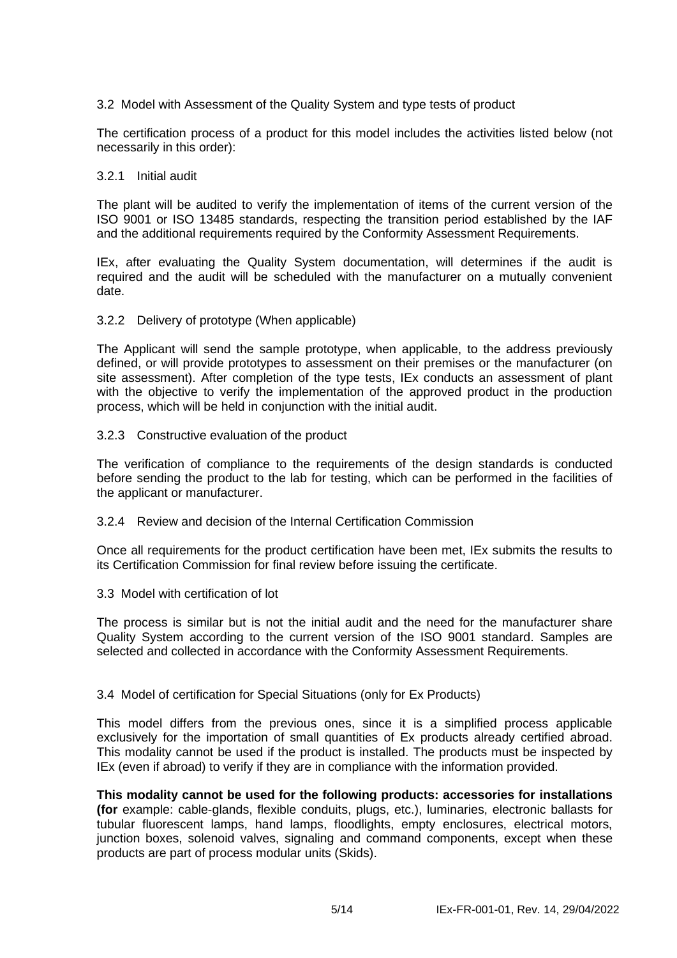## 3.2 Model with Assessment of the Quality System and type tests of product

The certification process of a product for this model includes the activities listed below (not necessarily in this order):

#### 3.2.1 Initial audit

The plant will be audited to verify the implementation of items of the current version of the ISO 9001 or ISO 13485 standards, respecting the transition period established by the IAF and the additional requirements required by the Conformity Assessment Requirements.

IEx, after evaluating the Quality System documentation, will determines if the audit is required and the audit will be scheduled with the manufacturer on a mutually convenient date.

#### 3.2.2 Delivery of prototype (When applicable)

The Applicant will send the sample prototype, when applicable, to the address previously defined, or will provide prototypes to assessment on their premises or the manufacturer (on site assessment). After completion of the type tests, IEx conducts an assessment of plant with the objective to verify the implementation of the approved product in the production process, which will be held in conjunction with the initial audit.

#### 3.2.3 Constructive evaluation of the product

The verification of compliance to the requirements of the design standards is conducted before sending the product to the lab for testing, which can be performed in the facilities of the applicant or manufacturer.

#### 3.2.4 Review and decision of the Internal Certification Commission

Once all requirements for the product certification have been met, IEx submits the results to its Certification Commission for final review before issuing the certificate.

#### 3.3 Model with certification of lot

The process is similar but is not the initial audit and the need for the manufacturer share Quality System according to the current version of the ISO 9001 standard. Samples are selected and collected in accordance with the Conformity Assessment Requirements.

### 3.4 Model of certification for Special Situations (only for Ex Products)

This model differs from the previous ones, since it is a simplified process applicable exclusively for the importation of small quantities of Ex products already certified abroad. This modality cannot be used if the product is installed. The products must be inspected by IEx (even if abroad) to verify if they are in compliance with the information provided.

#### **This modality cannot be used for the following products: accessories for installations (for** example: cable-glands, flexible conduits, plugs, etc.), luminaries, electronic ballasts for tubular fluorescent lamps, hand lamps, floodlights, empty enclosures, electrical motors, junction boxes, solenoid valves, signaling and command components, except when these products are part of process modular units (Skids).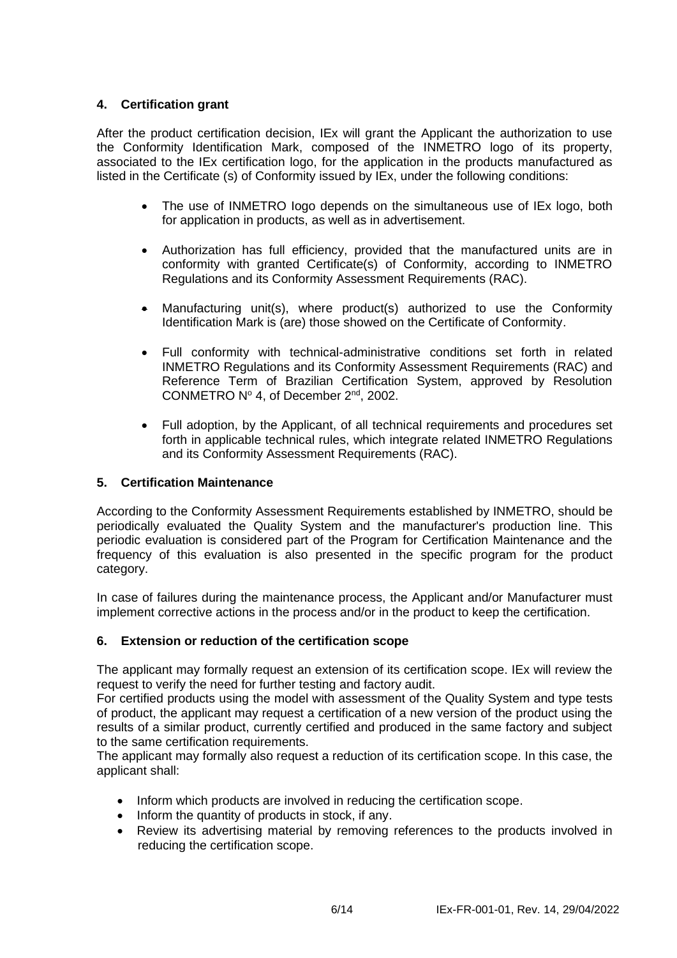## **4. Certification grant**

After the product certification decision, IEx will grant the Applicant the authorization to use the Conformity Identification Mark, composed of the INMETRO logo of its property, associated to the IEx certification logo, for the application in the products manufactured as listed in the Certificate (s) of Conformity issued by IEx, under the following conditions:

- The use of INMETRO logo depends on the simultaneous use of IEx logo, both for application in products, as well as in advertisement.
- Authorization has full efficiency, provided that the manufactured units are in conformity with granted Certificate(s) of Conformity, according to INMETRO Regulations and its Conformity Assessment Requirements (RAC).
- Manufacturing unit(s), where product(s) authorized to use the Conformity Identification Mark is (are) those showed on the Certificate of Conformity.
- Full conformity with technical-administrative conditions set forth in related INMETRO Regulations and its Conformity Assessment Requirements (RAC) and Reference Term of Brazilian Certification System, approved by Resolution CONMETRO Nº 4, of December 2<sup>nd</sup>, 2002.
- Full adoption, by the Applicant, of all technical requirements and procedures set forth in applicable technical rules, which integrate related INMETRO Regulations and its Conformity Assessment Requirements (RAC).

### **5. Certification Maintenance**

According to the Conformity Assessment Requirements established by INMETRO, should be periodically evaluated the Quality System and the manufacturer's production line. This periodic evaluation is considered part of the Program for Certification Maintenance and the frequency of this evaluation is also presented in the specific program for the product category.

In case of failures during the maintenance process, the Applicant and/or Manufacturer must implement corrective actions in the process and/or in the product to keep the certification.

### **6. Extension or reduction of the certification scope**

The applicant may formally request an extension of its certification scope. IEx will review the request to verify the need for further testing and factory audit.

For certified products using the model with assessment of the Quality System and type tests of product, the applicant may request a certification of a new version of the product using the results of a similar product, currently certified and produced in the same factory and subject to the same certification requirements.

The applicant may formally also request a reduction of its certification scope. In this case, the applicant shall:

- Inform which products are involved in reducing the certification scope.
- Inform the quantity of products in stock, if any.
- Review its advertising material by removing references to the products involved in reducing the certification scope.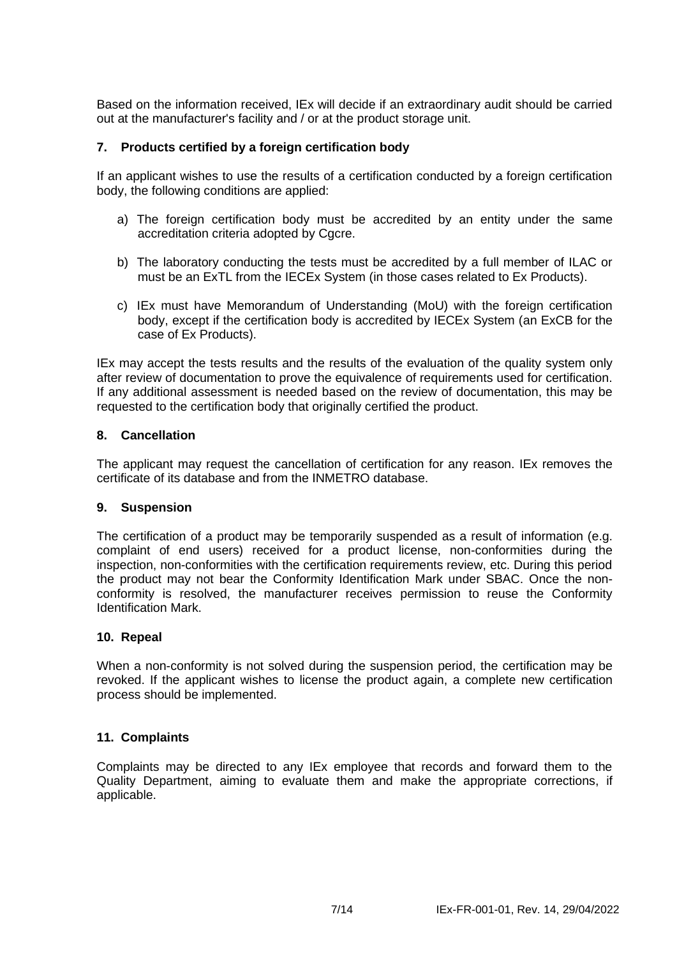Based on the information received, IEx will decide if an extraordinary audit should be carried out at the manufacturer's facility and / or at the product storage unit.

### **7. Products certified by a foreign certification body**

If an applicant wishes to use the results of a certification conducted by a foreign certification body, the following conditions are applied:

- a) The foreign certification body must be accredited by an entity under the same accreditation criteria adopted by Cgcre.
- b) The laboratory conducting the tests must be accredited by a full member of ILAC or must be an ExTL from the IECEx System (in those cases related to Ex Products).
- c) IEx must have Memorandum of Understanding (MoU) with the foreign certification body, except if the certification body is accredited by IECEx System (an ExCB for the case of Ex Products).

IEx may accept the tests results and the results of the evaluation of the quality system only after review of documentation to prove the equivalence of requirements used for certification. If any additional assessment is needed based on the review of documentation, this may be requested to the certification body that originally certified the product.

#### **8. Cancellation**

The applicant may request the cancellation of certification for any reason. IEx removes the certificate of its database and from the INMETRO database.

#### **9. Suspension**

The certification of a product may be temporarily suspended as a result of information (e.g. complaint of end users) received for a product license, non-conformities during the inspection, non-conformities with the certification requirements review, etc. During this period the product may not bear the Conformity Identification Mark under SBAC. Once the nonconformity is resolved, the manufacturer receives permission to reuse the Conformity Identification Mark.

### **10. Repeal**

When a non-conformity is not solved during the suspension period, the certification may be revoked. If the applicant wishes to license the product again, a complete new certification process should be implemented.

### **11. Complaints**

Complaints may be directed to any IEx employee that records and forward them to the Quality Department, aiming to evaluate them and make the appropriate corrections, if applicable.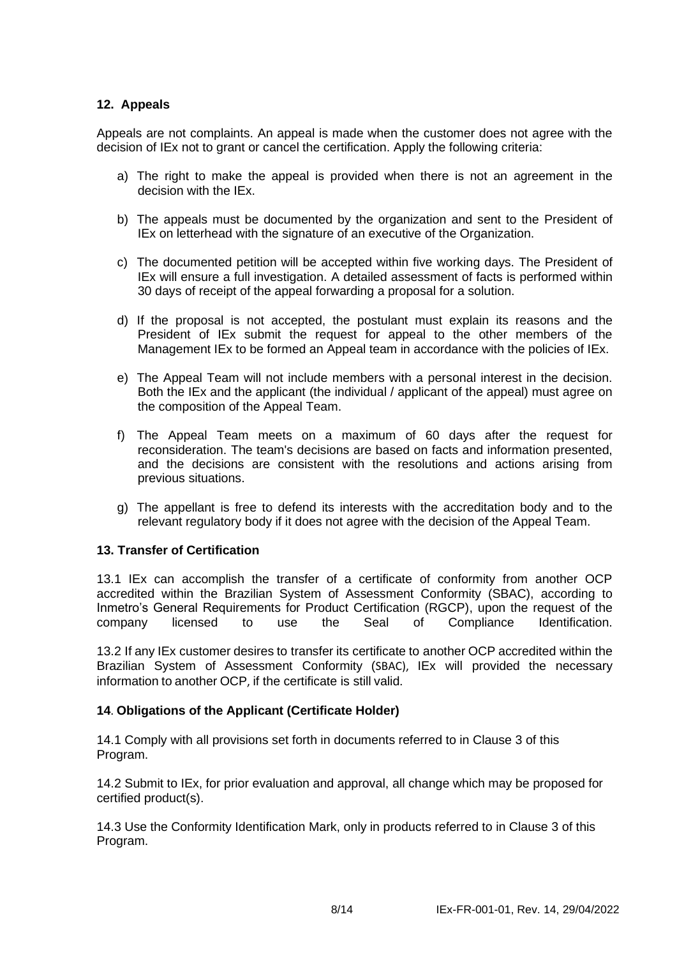## **12. Appeals**

Appeals are not complaints. An appeal is made when the customer does not agree with the decision of IEx not to grant or cancel the certification. Apply the following criteria:

- a) The right to make the appeal is provided when there is not an agreement in the decision with the IEx.
- b) The appeals must be documented by the organization and sent to the President of IEx on letterhead with the signature of an executive of the Organization.
- c) The documented petition will be accepted within five working days. The President of IEx will ensure a full investigation. A detailed assessment of facts is performed within 30 days of receipt of the appeal forwarding a proposal for a solution.
- d) If the proposal is not accepted, the postulant must explain its reasons and the President of IEx submit the request for appeal to the other members of the Management IEx to be formed an Appeal team in accordance with the policies of IEx.
- e) The Appeal Team will not include members with a personal interest in the decision. Both the IEx and the applicant (the individual / applicant of the appeal) must agree on the composition of the Appeal Team.
- f) The Appeal Team meets on a maximum of 60 days after the request for reconsideration. The team's decisions are based on facts and information presented, and the decisions are consistent with the resolutions and actions arising from previous situations.
- g) The appellant is free to defend its interests with the accreditation body and to the relevant regulatory body if it does not agree with the decision of the Appeal Team.

### **13. Transfer of Certification**

13.1 IEx can accomplish the transfer of a certificate of conformity from another OCP accredited within the Brazilian System of Assessment Conformity (SBAC), according to Inmetro's General Requirements for Product Certification (RGCP), upon the request of the company licensed to use the Seal of Compliance Identification.

13.2 If any IEx customer desires to transfer its certificate to another OCP accredited within the Brazilian System of Assessment Conformity (SBAC), IEx will provided the necessary information to another OCP, if the certificate is still valid.

#### **14**. **Obligations of the Applicant (Certificate Holder)**

14.1 Comply with all provisions set forth in documents referred to in Clause 3 of this Program.

14.2 Submit to IEx, for prior evaluation and approval, all change which may be proposed for certified product(s).

14.3 Use the Conformity Identification Mark, only in products referred to in Clause 3 of this Program.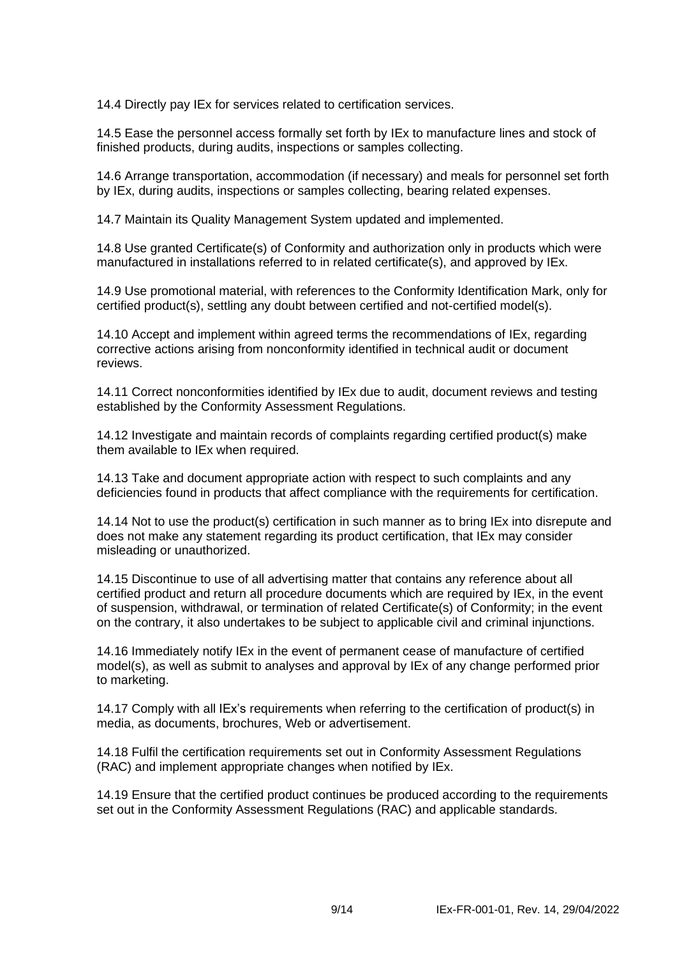14.4 Directly pay IEx for services related to certification services.

14.5 Ease the personnel access formally set forth by IEx to manufacture lines and stock of finished products, during audits, inspections or samples collecting.

14.6 Arrange transportation, accommodation (if necessary) and meals for personnel set forth by IEx, during audits, inspections or samples collecting, bearing related expenses.

14.7 Maintain its Quality Management System updated and implemented.

14.8 Use granted Certificate(s) of Conformity and authorization only in products which were manufactured in installations referred to in related certificate(s), and approved by IEx.

14.9 Use promotional material, with references to the Conformity Identification Mark, only for certified product(s), settling any doubt between certified and not-certified model(s).

14.10 Accept and implement within agreed terms the recommendations of IEx, regarding corrective actions arising from nonconformity identified in technical audit or document reviews.

14.11 Correct nonconformities identified by IEx due to audit, document reviews and testing established by the Conformity Assessment Regulations.

14.12 Investigate and maintain records of complaints regarding certified product(s) make them available to IEx when required.

14.13 Take and document appropriate action with respect to such complaints and any deficiencies found in products that affect compliance with the requirements for certification.

14.14 Not to use the product(s) certification in such manner as to bring IEx into disrepute and does not make any statement regarding its product certification, that IEx may consider misleading or unauthorized.

14.15 Discontinue to use of all advertising matter that contains any reference about all certified product and return all procedure documents which are required by IEx, in the event of suspension, withdrawal, or termination of related Certificate(s) of Conformity; in the event on the contrary, it also undertakes to be subject to applicable civil and criminal injunctions.

14.16 Immediately notify IEx in the event of permanent cease of manufacture of certified model(s), as well as submit to analyses and approval by IEx of any change performed prior to marketing.

14.17 Comply with all IEx's requirements when referring to the certification of product(s) in media, as documents, brochures, Web or advertisement.

14.18 Fulfil the certification requirements set out in Conformity Assessment Regulations (RAC) and implement appropriate changes when notified by IEx.

14.19 Ensure that the certified product continues be produced according to the requirements set out in the Conformity Assessment Regulations (RAC) and applicable standards.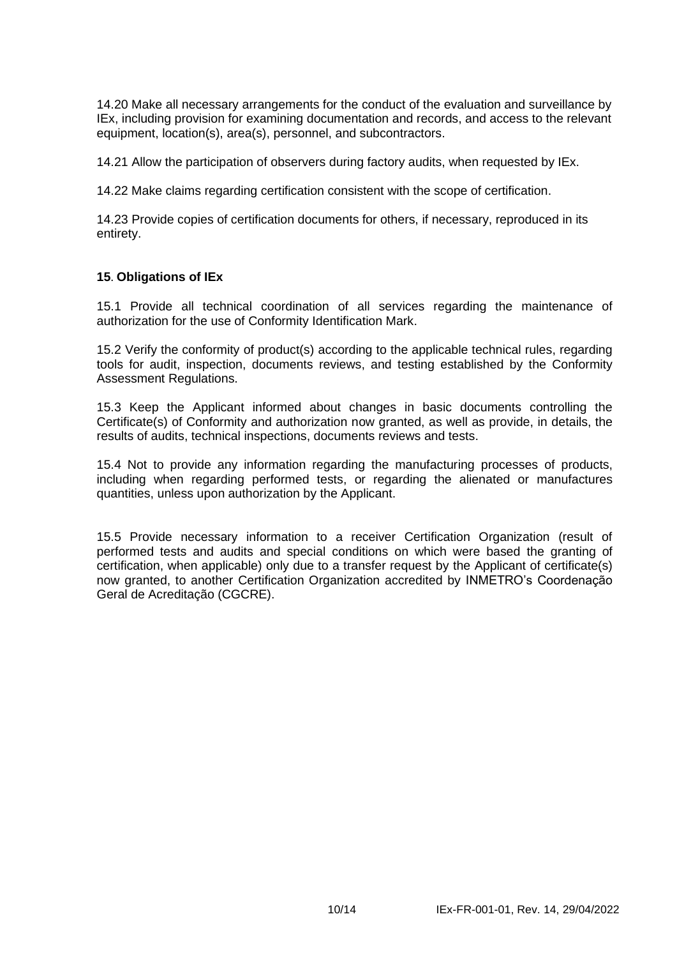14.20 Make all necessary arrangements for the conduct of the evaluation and surveillance by IEx, including provision for examining documentation and records, and access to the relevant equipment, location(s), area(s), personnel, and subcontractors.

14.21 Allow the participation of observers during factory audits, when requested by IEx.

14.22 Make claims regarding certification consistent with the scope of certification.

14.23 Provide copies of certification documents for others, if necessary, reproduced in its entirety.

### **15**. **Obligations of IEx**

15.1 Provide all technical coordination of all services regarding the maintenance of authorization for the use of Conformity Identification Mark.

15.2 Verify the conformity of product(s) according to the applicable technical rules, regarding tools for audit, inspection, documents reviews, and testing established by the Conformity Assessment Regulations.

15.3 Keep the Applicant informed about changes in basic documents controlling the Certificate(s) of Conformity and authorization now granted, as well as provide, in details, the results of audits, technical inspections, documents reviews and tests.

15.4 Not to provide any information regarding the manufacturing processes of products, including when regarding performed tests, or regarding the alienated or manufactures quantities, unless upon authorization by the Applicant.

15.5 Provide necessary information to a receiver Certification Organization (result of performed tests and audits and special conditions on which were based the granting of certification, when applicable) only due to a transfer request by the Applicant of certificate(s) now granted, to another Certification Organization accredited by INMETRO's Coordenação Geral de Acreditação (CGCRE).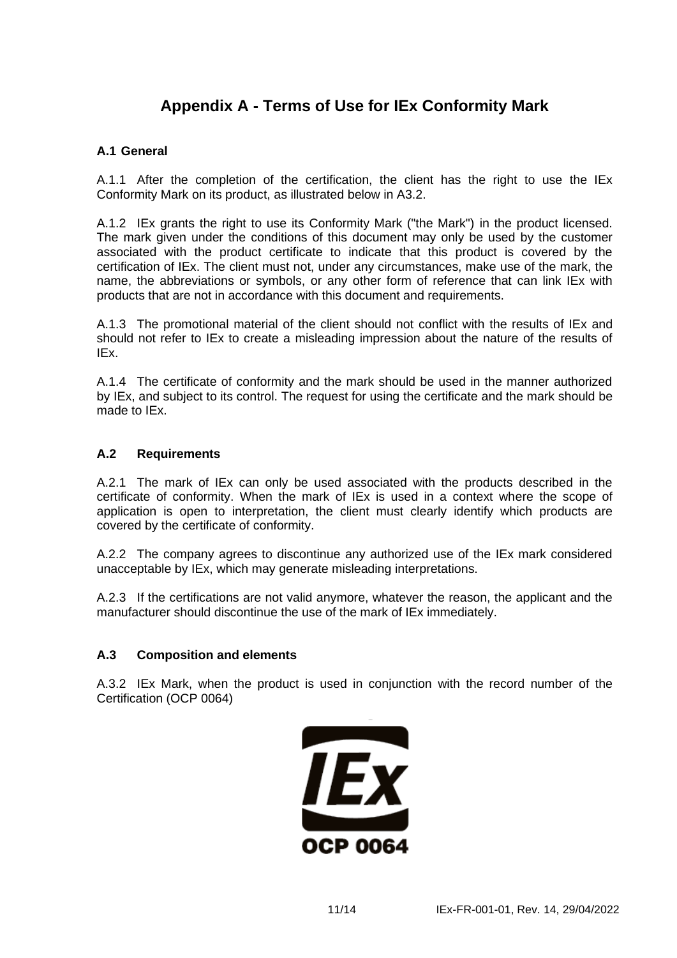## **Appendix A - Terms of Use for IEx Conformity Mark**

## **A.1 General**

A.1.1 After the completion of the certification, the client has the right to use the IEx Conformity Mark on its product, as illustrated below in A3.2.

A.1.2 IEx grants the right to use its Conformity Mark ("the Mark") in the product licensed. The mark given under the conditions of this document may only be used by the customer associated with the product certificate to indicate that this product is covered by the certification of IEx. The client must not, under any circumstances, make use of the mark, the name, the abbreviations or symbols, or any other form of reference that can link IEx with products that are not in accordance with this document and requirements.

A.1.3 The promotional material of the client should not conflict with the results of IEx and should not refer to IEx to create a misleading impression about the nature of the results of IEx.

A.1.4 The certificate of conformity and the mark should be used in the manner authorized by IEx, and subject to its control. The request for using the certificate and the mark should be made to IEx.

### **A.2 Requirements**

A.2.1 The mark of IEx can only be used associated with the products described in the certificate of conformity. When the mark of IEx is used in a context where the scope of application is open to interpretation, the client must clearly identify which products are covered by the certificate of conformity.

A.2.2 The company agrees to discontinue any authorized use of the IEx mark considered unacceptable by IEx, which may generate misleading interpretations.

A.2.3 If the certifications are not valid anymore, whatever the reason, the applicant and the manufacturer should discontinue the use of the mark of IEx immediately.

### **A.3 Composition and elements**

A.3.2 IEx Mark, when the product is used in conjunction with the record number of the Certification (OCP 0064)

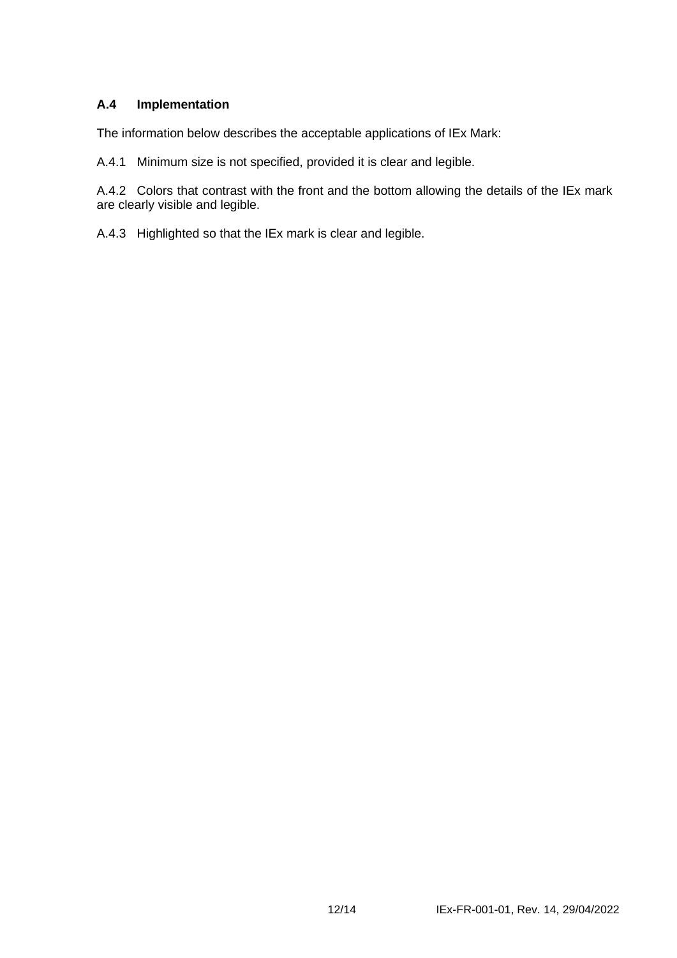## **A.4 Implementation**

The information below describes the acceptable applications of IEx Mark:

A.4.1 Minimum size is not specified, provided it is clear and legible.

A.4.2 Colors that contrast with the front and the bottom allowing the details of the IEx mark are clearly visible and legible.

A.4.3 Highlighted so that the IEx mark is clear and legible.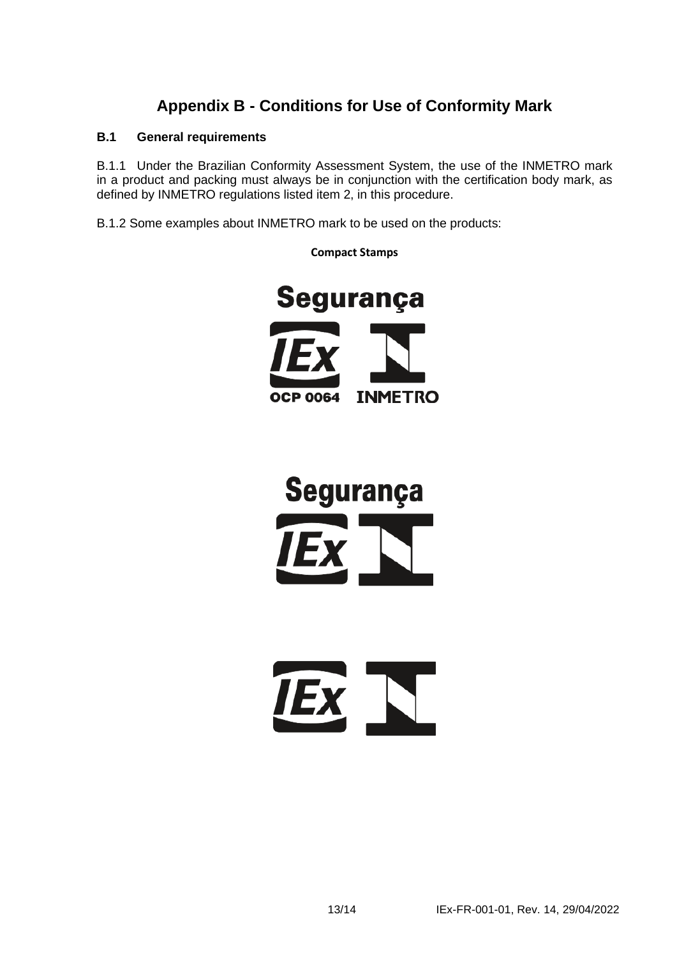## **Appendix B - Conditions for Use of Conformity Mark**

## **B.1 General requirements**

B.1.1 Under the Brazilian Conformity Assessment System, the use of the INMETRO mark in a product and packing must always be in conjunction with the certification body mark, as defined by INMETRO regulations listed item 2, in this procedure.

B.1.2 Some examples about INMETRO mark to be used on the products:



**Segurança** 



**Compact Stamps**